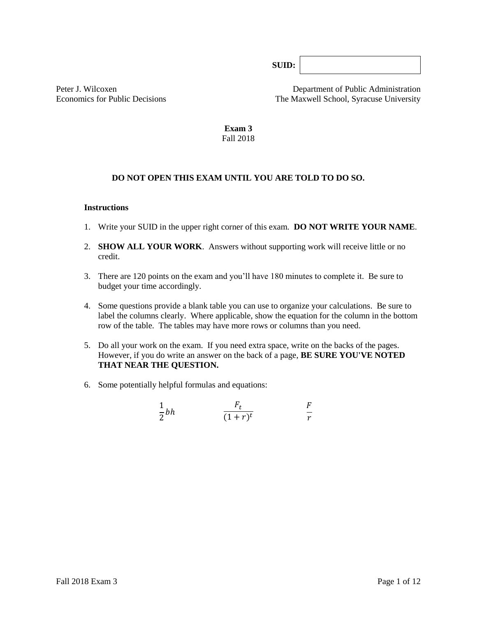**SUID:**

Peter J. Wilcoxen Department of Public Administration Economics for Public Decisions The Maxwell School, Syracuse University

> **Exam 3** Fall 2018

## **DO NOT OPEN THIS EXAM UNTIL YOU ARE TOLD TO DO SO.**

#### **Instructions**

- 1. Write your SUID in the upper right corner of this exam. **DO NOT WRITE YOUR NAME**.
- 2. **SHOW ALL YOUR WORK**. Answers without supporting work will receive little or no credit.
- 3. There are 120 points on the exam and you'll have 180 minutes to complete it. Be sure to budget your time accordingly.
- 4. Some questions provide a blank table you can use to organize your calculations. Be sure to label the columns clearly. Where applicable, show the equation for the column in the bottom row of the table*.* The tables may have more rows or columns than you need.
- 5. Do all your work on the exam. If you need extra space, write on the backs of the pages. However, if you do write an answer on the back of a page, **BE SURE YOU'VE NOTED THAT NEAR THE QUESTION.**
- 6. Some potentially helpful formulas and equations:

$$
\frac{1}{2}bh \qquad \qquad \frac{F_t}{(1+r)^t} \qquad \qquad \frac{F}{r}
$$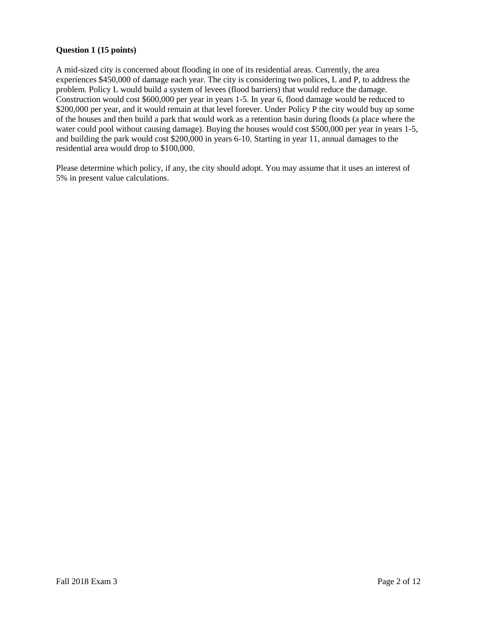## **Question 1 (15 points)**

A mid-sized city is concerned about flooding in one of its residential areas. Currently, the area experiences \$450,000 of damage each year. The city is considering two polices, L and P, to address the problem. Policy L would build a system of levees (flood barriers) that would reduce the damage. Construction would cost \$600,000 per year in years 1-5. In year 6, flood damage would be reduced to \$200,000 per year, and it would remain at that level forever. Under Policy P the city would buy up some of the houses and then build a park that would work as a retention basin during floods (a place where the water could pool without causing damage). Buying the houses would cost \$500,000 per year in years 1-5, and building the park would cost \$200,000 in years 6-10. Starting in year 11, annual damages to the residential area would drop to \$100,000.

Please determine which policy, if any, the city should adopt. You may assume that it uses an interest of 5% in present value calculations.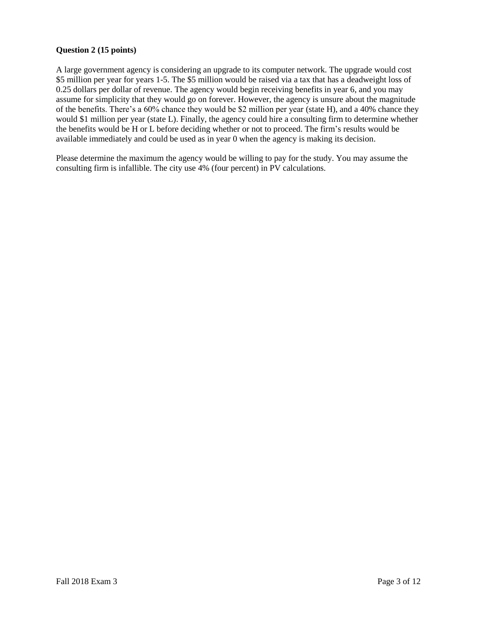### **Question 2 (15 points)**

A large government agency is considering an upgrade to its computer network. The upgrade would cost \$5 million per year for years 1-5. The \$5 million would be raised via a tax that has a deadweight loss of 0.25 dollars per dollar of revenue. The agency would begin receiving benefits in year 6, and you may assume for simplicity that they would go on forever. However, the agency is unsure about the magnitude of the benefits. There's a 60% chance they would be \$2 million per year (state H), and a 40% chance they would \$1 million per year (state L). Finally, the agency could hire a consulting firm to determine whether the benefits would be H or L before deciding whether or not to proceed. The firm's results would be available immediately and could be used as in year 0 when the agency is making its decision.

Please determine the maximum the agency would be willing to pay for the study. You may assume the consulting firm is infallible. The city use 4% (four percent) in PV calculations.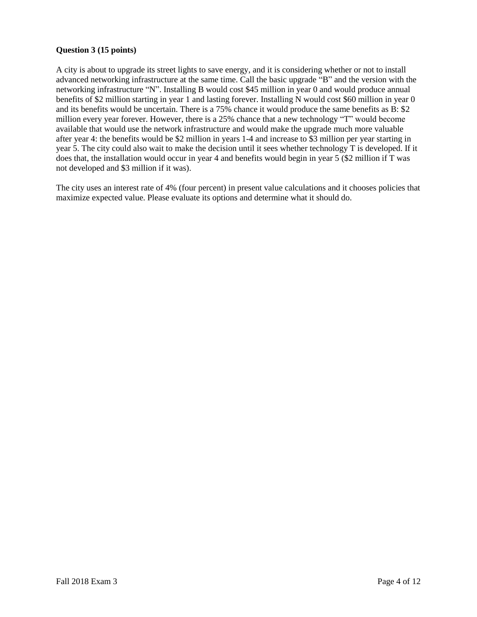### **Question 3 (15 points)**

A city is about to upgrade its street lights to save energy, and it is considering whether or not to install advanced networking infrastructure at the same time. Call the basic upgrade "B" and the version with the networking infrastructure "N". Installing B would cost \$45 million in year 0 and would produce annual benefits of \$2 million starting in year 1 and lasting forever. Installing N would cost \$60 million in year 0 and its benefits would be uncertain. There is a 75% chance it would produce the same benefits as B: \$2 million every year forever. However, there is a 25% chance that a new technology "T" would become available that would use the network infrastructure and would make the upgrade much more valuable after year 4: the benefits would be \$2 million in years 1-4 and increase to \$3 million per year starting in year 5. The city could also wait to make the decision until it sees whether technology T is developed. If it does that, the installation would occur in year 4 and benefits would begin in year 5 (\$2 million if T was not developed and \$3 million if it was).

The city uses an interest rate of 4% (four percent) in present value calculations and it chooses policies that maximize expected value. Please evaluate its options and determine what it should do.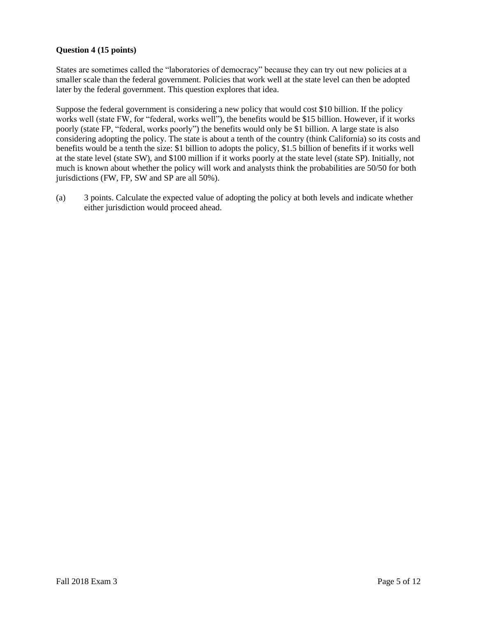## **Question 4 (15 points)**

States are sometimes called the "laboratories of democracy" because they can try out new policies at a smaller scale than the federal government. Policies that work well at the state level can then be adopted later by the federal government. This question explores that idea.

Suppose the federal government is considering a new policy that would cost \$10 billion. If the policy works well (state FW, for "federal, works well"), the benefits would be \$15 billion. However, if it works poorly (state FP, "federal, works poorly") the benefits would only be \$1 billion. A large state is also considering adopting the policy. The state is about a tenth of the country (think California) so its costs and benefits would be a tenth the size: \$1 billion to adopts the policy, \$1.5 billion of benefits if it works well at the state level (state SW), and \$100 million if it works poorly at the state level (state SP). Initially, not much is known about whether the policy will work and analysts think the probabilities are 50/50 for both jurisdictions (FW, FP, SW and SP are all 50%).

(a) 3 points. Calculate the expected value of adopting the policy at both levels and indicate whether either jurisdiction would proceed ahead.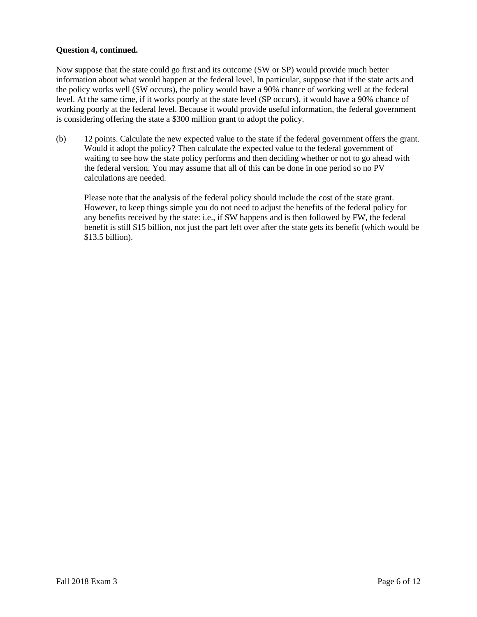## **Question 4, continued.**

Now suppose that the state could go first and its outcome (SW or SP) would provide much better information about what would happen at the federal level. In particular, suppose that if the state acts and the policy works well (SW occurs), the policy would have a 90% chance of working well at the federal level. At the same time, if it works poorly at the state level (SP occurs), it would have a 90% chance of working poorly at the federal level. Because it would provide useful information, the federal government is considering offering the state a \$300 million grant to adopt the policy.

(b) 12 points. Calculate the new expected value to the state if the federal government offers the grant. Would it adopt the policy? Then calculate the expected value to the federal government of waiting to see how the state policy performs and then deciding whether or not to go ahead with the federal version. You may assume that all of this can be done in one period so no PV calculations are needed.

Please note that the analysis of the federal policy should include the cost of the state grant. However, to keep things simple you do not need to adjust the benefits of the federal policy for any benefits received by the state: i.e., if SW happens and is then followed by FW, the federal benefit is still \$15 billion, not just the part left over after the state gets its benefit (which would be \$13.5 billion).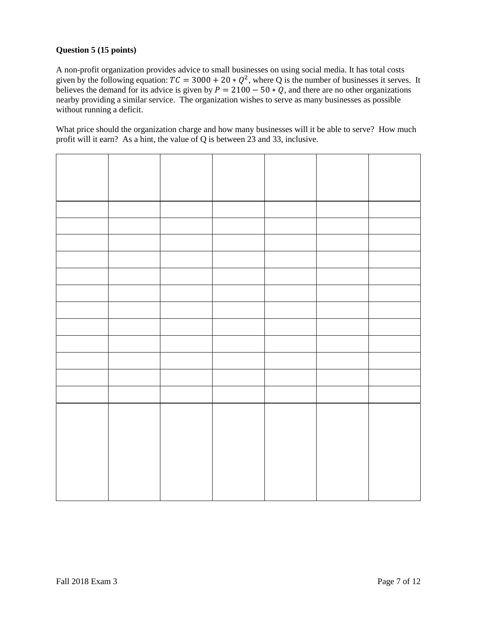# **Question 5 (15 points)**

A non-profit organization provides advice to small businesses on using social media. It has total costs given by the following equation:  $TC = 3000 + 20 * Q^2$ , where Q is the number of businesses it serves. It believes the demand for its advice is given by  $P = 2100 - 50 \times Q$ , and there are no other organizations nearby providing a similar service. The organization wishes to serve as many businesses as possible without running a deficit.

What price should the organization charge and how many businesses will it be able to serve? How much profit will it earn? As a hint, the value of Q is between 23 and 33, inclusive.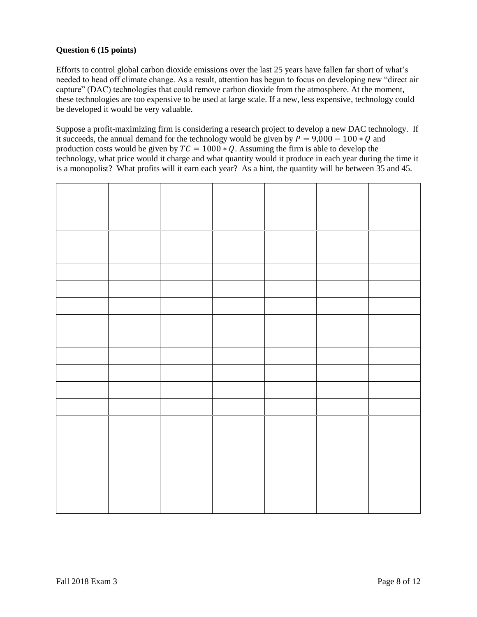# **Question 6 (15 points)**

Efforts to control global carbon dioxide emissions over the last 25 years have fallen far short of what's needed to head off climate change. As a result, attention has begun to focus on developing new "direct air capture" (DAC) technologies that could remove carbon dioxide from the atmosphere. At the moment, these technologies are too expensive to be used at large scale. If a new, less expensive, technology could be developed it would be very valuable.

Suppose a profit-maximizing firm is considering a research project to develop a new DAC technology. If it succeeds, the annual demand for the technology would be given by  $P = 9,000 - 100 * Q$  and production costs would be given by  $TC = 1000 * Q$ . Assuming the firm is able to develop the technology, what price would it charge and what quantity would it produce in each year during the time it is a monopolist? What profits will it earn each year? As a hint, the quantity will be between 35 and 45.

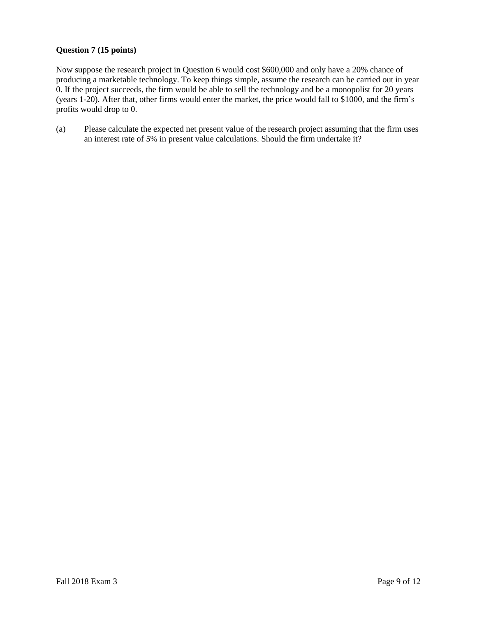## **Question 7 (15 points)**

Now suppose the research project in Question 6 would cost \$600,000 and only have a 20% chance of producing a marketable technology. To keep things simple, assume the research can be carried out in year 0. If the project succeeds, the firm would be able to sell the technology and be a monopolist for 20 years (years 1-20). After that, other firms would enter the market, the price would fall to \$1000, and the firm's profits would drop to 0.

(a) Please calculate the expected net present value of the research project assuming that the firm uses an interest rate of 5% in present value calculations. Should the firm undertake it?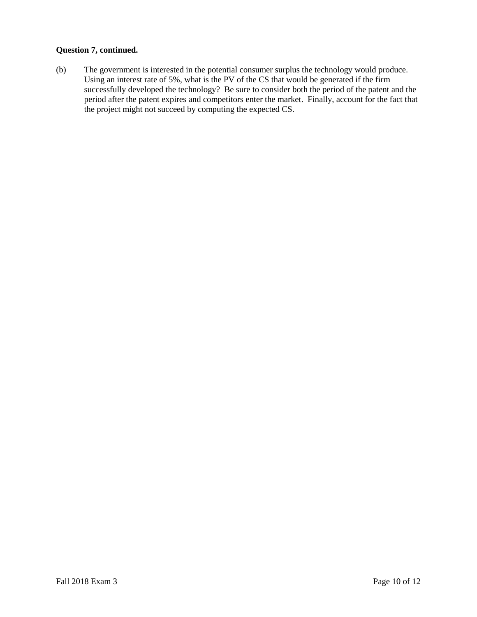### **Question 7, continued.**

(b) The government is interested in the potential consumer surplus the technology would produce. Using an interest rate of 5%, what is the PV of the CS that would be generated if the firm successfully developed the technology? Be sure to consider both the period of the patent and the period after the patent expires and competitors enter the market. Finally, account for the fact that the project might not succeed by computing the expected CS.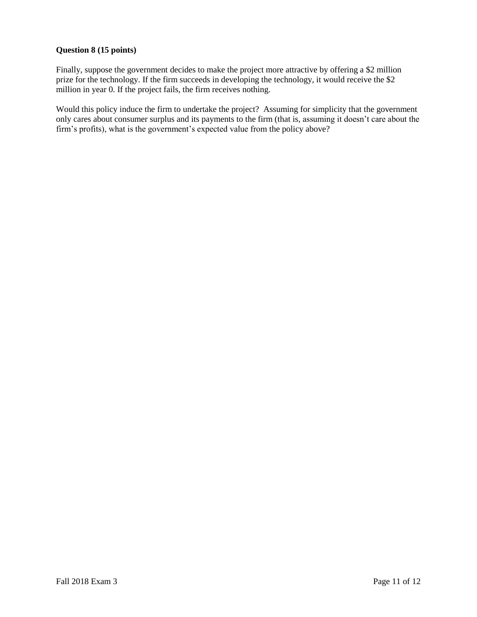## **Question 8 (15 points)**

Finally, suppose the government decides to make the project more attractive by offering a \$2 million prize for the technology. If the firm succeeds in developing the technology, it would receive the \$2 million in year 0. If the project fails, the firm receives nothing.

Would this policy induce the firm to undertake the project? Assuming for simplicity that the government only cares about consumer surplus and its payments to the firm (that is, assuming it doesn't care about the firm's profits), what is the government's expected value from the policy above?